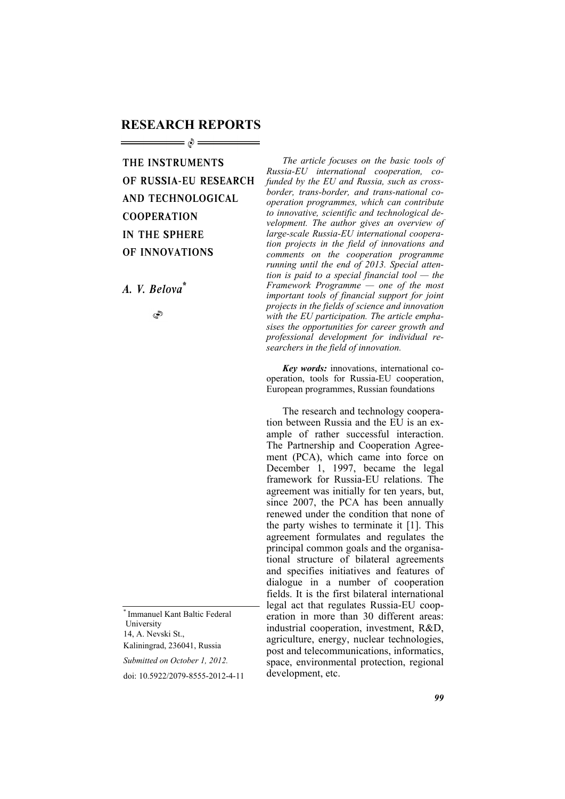## **RESEARCH REPORTS**

## THE INSTRUMENTS OF RUSSIA-EU RESEARCH AND TECHNOLOGICAL **COOPERATION** IN THE SPHERE OF INNOVATIONS

*Ä. V. Belova\**

Ò

\* Immanuel Kant Baltic Federal University 14, A. Nevski St., Kaliningrad, 236041, Russia

*Submitted on October 1, 2012.* 

doi: 10.5922/2079-8555-2012-4-11

*The article focuses on the basic tools of Russia-EU international cooperation, cofunded by the EU and Russia, such as crossborder, trans-border, and trans-national cooperation programmes, which can contribute to innovative, scientific and technological development. The author gives an overview of large-scale Russia-EU international cooperation projects in the field of innovations and comments on the cooperation programme running until the end of 2013. Special attention is paid to a special financial tool — the Framework Programme — one of the most important tools of financial support for joint projects in the fields of science and innovation with the EU participation. The article emphasises the opportunities for career growth and professional development for individual researchers in the field of innovation.* 

*Key words:* innovations, international cooperation, tools for Russia-EU cooperation, European programmes, Russian foundations

The research and technology cooperation between Russia and the EU is an example of rather successful interaction. The Partnership and Cooperation Agreement (PCA), which came into force on December 1, 1997, became the legal framework for Russia-EU relations. The agreement was initially for ten years, but, since 2007, the PCA has been annually renewed under the condition that none of the party wishes to terminate it [1]. This agreement formulates and regulates the principal common goals and the organisational structure of bilateral agreements and specifies initiatives and features of dialogue in a number of cooperation fields. It is the first bilateral international legal act that regulates Russia-EU cooperation in more than 30 different areas: industrial cooperation, investment, R&D, agriculture, energy, nuclear technologies, post and telecommunications, informatics, space, environmental protection, regional development, etc.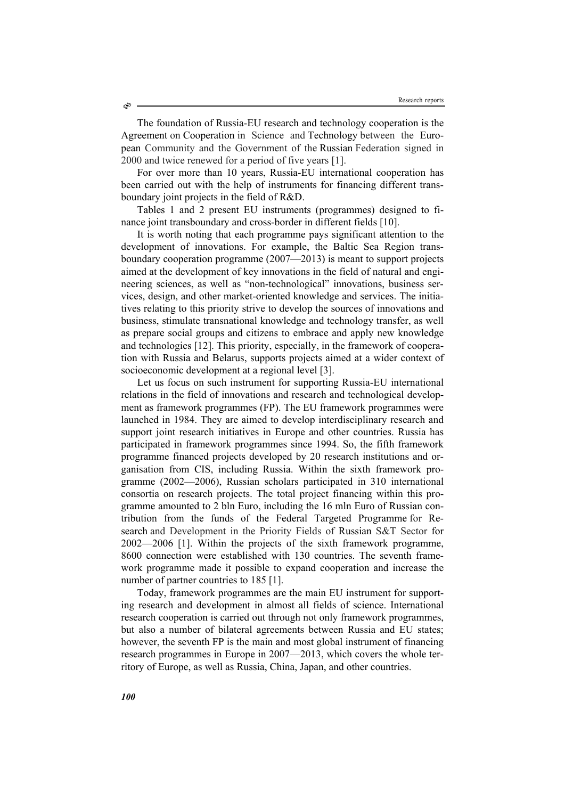The foundation of Russia-EU research and technology cooperation is the Agreement on Cooperation in Science and Technology between the European Community and the Government of the Russian Federation signed in

2000 and twice renewed for a period of five years [1].

For over more than 10 years, Russia-EU international cooperation has been carried out with the help of instruments for financing different transboundary joint projects in the field of R&D.

Tables 1 and 2 present EU instruments (programmes) designed to finance joint transboundary and cross-border in different fields [10].

It is worth noting that each programme pays significant attention to the development of innovations. For example, the Baltic Sea Region transboundary cooperation programme (2007—2013) is meant to support projects aimed at the development of key innovations in the field of natural and engineering sciences, as well as "non-technological" innovations, business services, design, and other market-oriented knowledge and services. The initiatives relating to this priority strive to develop the sources of innovations and business, stimulate transnational knowledge and technology transfer, as well as prepare social groups and citizens to embrace and apply new knowledge and technologies [12]. This priority, especially, in the framework of cooperation with Russia and Belarus, supports projects aimed at a wider context of socioeconomic development at a regional level [3].

Let us focus on such instrument for supporting Russia-EU international relations in the field of innovations and research and technological development as framework programmes (FP). The EU framework programmes were launched in 1984. They are aimed to develop interdisciplinary research and support joint research initiatives in Europe and other countries. Russia has participated in framework programmes since 1994. So, the fifth framework programme financed projects developed by 20 research institutions and organisation from CIS, including Russia. Within the sixth framework programme (2002—2006), Russian scholars participated in 310 international consortia on research projects. The total project financing within this programme amounted to 2 bln Euro, including the 16 mln Euro of Russian contribution from the funds of the Federal Targeted Programme for Research and Development in the Priority Fields of Russian S&T Sector for 2002—2006 [1]. Within the projects of the sixth framework programme, 8600 connection were established with 130 countries. The seventh framework programme made it possible to expand cooperation and increase the number of partner countries to 185 [1].

Today, framework programmes are the main EU instrument for supporting research and development in almost all fields of science. International research cooperation is carried out through not only framework programmes, but also a number of bilateral agreements between Russia and EU states; however, the seventh FP is the main and most global instrument of financing research programmes in Europe in 2007—2013, which covers the whole territory of Europe, as well as Russia, China, Japan, and other countries.

Ò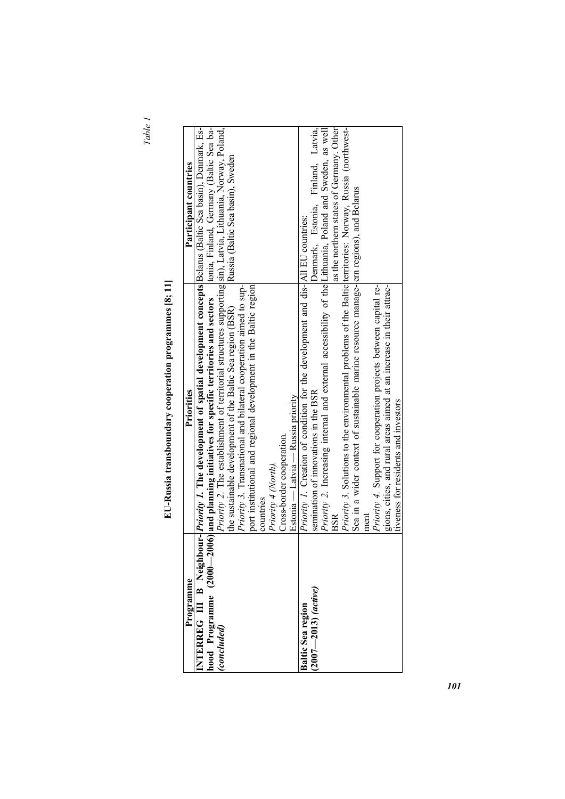| ÷ |
|---|
|   |
|   |

| ı                                                                                                                                                                                                                                   |
|-------------------------------------------------------------------------------------------------------------------------------------------------------------------------------------------------------------------------------------|
| ţ<br>l                                                                                                                                                                                                                              |
| $\frac{1}{2}$                                                                                                                                                                                                                       |
| İ                                                                                                                                                                                                                                   |
|                                                                                                                                                                                                                                     |
|                                                                                                                                                                                                                                     |
|                                                                                                                                                                                                                                     |
| í                                                                                                                                                                                                                                   |
| D                                                                                                                                                                                                                                   |
|                                                                                                                                                                                                                                     |
| ı                                                                                                                                                                                                                                   |
|                                                                                                                                                                                                                                     |
|                                                                                                                                                                                                                                     |
| ï                                                                                                                                                                                                                                   |
| o con out of the second control of the control of the control of the control of the control of the control of the control of the control of the control of the control of the control of the control of the control of the con<br>í |
|                                                                                                                                                                                                                                     |
|                                                                                                                                                                                                                                     |
| $\sim$ $\sim$ $\sim$ $\sim$                                                                                                                                                                                                         |
|                                                                                                                                                                                                                                     |
|                                                                                                                                                                                                                                     |
|                                                                                                                                                                                                                                     |
| Ì                                                                                                                                                                                                                                   |
| i                                                                                                                                                                                                                                   |
|                                                                                                                                                                                                                                     |
|                                                                                                                                                                                                                                     |
|                                                                                                                                                                                                                                     |
|                                                                                                                                                                                                                                     |
| ーーー<br>í                                                                                                                                                                                                                            |
|                                                                                                                                                                                                                                     |
|                                                                                                                                                                                                                                     |

| Programme                | Priorities                                                                                                                                                                                                                                                                | Participant countries                    |
|--------------------------|---------------------------------------------------------------------------------------------------------------------------------------------------------------------------------------------------------------------------------------------------------------------------|------------------------------------------|
|                          | NTERREG III B Neighbour- <i>Priority 1</i> . The development of spatial development concepts Belarus (Baltic Sea basin), Denmark, Es-<br>hood Programme (2000—2006) and planning initiatives for specific territories and sectors tonia, Finland, Germany (Baltic Sea ba- |                                          |
| (concluded)              | Priority 2. The establishment of territorial structures supporting sin), Latvia, Lithuania, Norway, Poland,                                                                                                                                                               |                                          |
|                          | the sustainable development of the Baltic Sea region (BSR)                                                                                                                                                                                                                | Russia (Baltic Sea basin), Sweden        |
|                          | Priority 3. Transnational and bilateral cooperation aimed to sup-                                                                                                                                                                                                         |                                          |
|                          | port institutional and regional development in the Baltic region                                                                                                                                                                                                          |                                          |
|                          | countries                                                                                                                                                                                                                                                                 |                                          |
|                          | Priority 4 (North).                                                                                                                                                                                                                                                       |                                          |
|                          | Cross-border cooperation.                                                                                                                                                                                                                                                 |                                          |
|                          | Estonia — Latvia — Russia priority                                                                                                                                                                                                                                        |                                          |
| <b>Baltic Sea region</b> | Priority 1. Creation of condition for the development and dis- All EU countries:                                                                                                                                                                                          |                                          |
| $2007 - 2013)$ (active)  | semination of innovations in the BSR                                                                                                                                                                                                                                      | Denmark, Estonia, Finland, Latvia,       |
|                          | Priority 2. Increasing internal and external accessibility of the Lithuania, Poland and Sweden, as well                                                                                                                                                                   |                                          |
|                          | $_{\rm BSR}$                                                                                                                                                                                                                                                              | as the northern states of Germany. Other |
|                          | <i>Priority</i> 3. Solutions to the environmental problems of the Baltic leteritories: Norway, Russia (northwest-                                                                                                                                                         |                                          |
|                          | Sea in a wider context of sustainable marine resource manage-lern regions), and Belarus                                                                                                                                                                                   |                                          |
|                          | ment                                                                                                                                                                                                                                                                      |                                          |
|                          | <i>Priority 4.</i> Support for cooperation projects between capital re-                                                                                                                                                                                                   |                                          |
|                          | gions, cities, and rural areas aimed at an increase in their attrac-                                                                                                                                                                                                      |                                          |
|                          | tiveness for residents and investors                                                                                                                                                                                                                                      |                                          |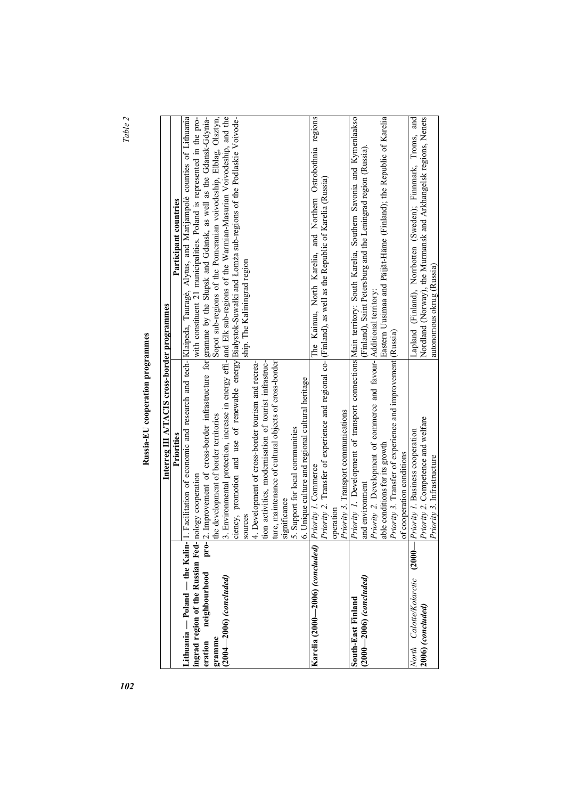*Table 2*

| i<br>l<br>D<br>$\overline{a}$<br>í |
|------------------------------------|
| I<br>í                             |
| Ï                                  |

|                                        | Interreg III A/TACIS cross-border programmes                          |                                                                                                                        |
|----------------------------------------|-----------------------------------------------------------------------|------------------------------------------------------------------------------------------------------------------------|
|                                        | Priorities                                                            | Participant countries                                                                                                  |
| ithuania — Poland — the Kalin-         |                                                                       | L Facilitation of economic and research and tech-[Klaipeda, Taurage, Alytus, and Marijampole counties of Lithuania     |
| ingrad region of the Russian Fed-      | nology cooperation                                                    | with constituent 21 municipalities. Poland is represented in the pro-                                                  |
| pro-<br>neighbourhood<br>eration       |                                                                       | 2. Improvement of cross-border infrastructure for gramme by the Shipsk and Gdansk, as well as the Gdansk-Gdynia-       |
| gramme                                 | the development of border territories                                 | Sopot sub-regions of the Pomeranian voivodeship, Elblag, Olsztyn,                                                      |
| $(2004 - 2006)$ (concluded)            |                                                                       | 3. Environmental protection, increase in energy effi- and Ełk sub-regions of the Warmian-Masurian Voivodeship, and the |
|                                        |                                                                       | eiency, promotion and use of renewable energy Białystok-Suwałki and Łomża sub-regions of the Podlaskie Voivode-        |
|                                        | sources                                                               | ship. The Kaliningrad region                                                                                           |
|                                        | 4. Development of cross-border tourism and recrea-                    |                                                                                                                        |
|                                        | tion activities, modernisation of tourist infrastruc-                 |                                                                                                                        |
|                                        | ture, maintenance of cultural objects of cross-border                 |                                                                                                                        |
|                                        | significance                                                          |                                                                                                                        |
|                                        | 5. Support for local communities                                      |                                                                                                                        |
|                                        | 6. Unique culture and regional cultural heritage                      |                                                                                                                        |
| Karelia (2000—2006) <i>(concluded)</i> | Priority 1. Commerce                                                  | The Kainuu, North Karelia, and Northern Ostrobothnia regions                                                           |
|                                        |                                                                       | Priority 2. Transfer of experience and regional co-[(Finland), as well as the Republic of Karelia (Russia)             |
|                                        | operation                                                             |                                                                                                                        |
|                                        | Priority 3. Transport communications                                  |                                                                                                                        |
| South-East Finland                     |                                                                       | Priority 1. Development of transport connections Main territory: South Karelia, Southern Savonia and Kymenlaakso       |
| (2000—2006) (concluded)                | and environment                                                       | (Finland), Saint Petersburg and the Leningrad region (Russia)                                                          |
|                                        | Priority 2. Development of commerce and favour- Additional territory: |                                                                                                                        |
|                                        | able conditions for its growth                                        | Eastern Uusimaa and Päijät-Häme (Finland); the Republic of Karelia                                                     |
|                                        | Priority 3. Transfer of experience and improvement (Russia)           |                                                                                                                        |
|                                        | of cooperation conditions                                             |                                                                                                                        |
| North Calotte/Kolarctic (2000-         | Priority 1. Business cooperation                                      | Lapland (Finland), Norrbotten (Sweden); Finnmark, Troms, and                                                           |
| 2006) (concluded)                      | Priority 2. Competence and welfare                                    | Nordland (Norway), the Murmansk and Arkhangelsk regions, Nenets                                                        |
|                                        | Priority 3. Infrastructure                                            | autonomous okrug (Russia)                                                                                              |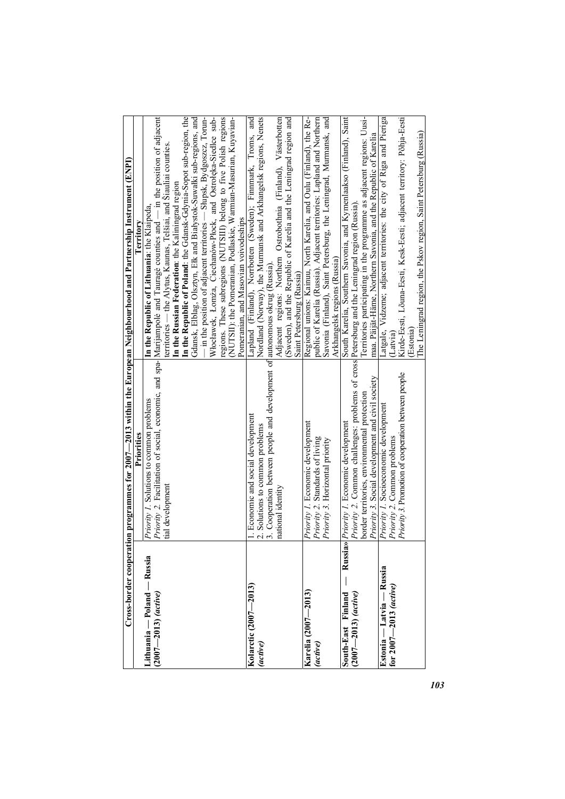| Cross-border cooperatio                                |                                                                                                | on programmes for 2007—2013 within the European Neighbourhood and Partnership Instrument (ENPI)                                                                          |
|--------------------------------------------------------|------------------------------------------------------------------------------------------------|--------------------------------------------------------------------------------------------------------------------------------------------------------------------------|
|                                                        | Priorities                                                                                     | <b>Territory</b>                                                                                                                                                         |
| ithuania — Poland — Russia<br>$(2007 - 2013)$ (active) | Priority 1. Solutions to common problems                                                       | Priority 2. Facilitation of social, economic, and spa- Marijampole and Taurage counties and — in the position of adjacent<br>In the Republic of Lithuania: the Klaipeda, |
|                                                        | tial development                                                                               | territories — the Alytus, Kaunas, Telšiai, and Šiauliai counties.                                                                                                        |
|                                                        |                                                                                                | In the Republic of Poland: the Gdansk-Gdynia-Sopot sub-region, the<br>In the Russian Federation: the Kaliningrad region                                                  |
|                                                        |                                                                                                | Gdansk, Elblag, Olsztyn, Ełk and Białystok-Suwałki sub-regions, and                                                                                                      |
|                                                        |                                                                                                | $-$ in the position of adjacent territories $-$ Slupsk, Bydgoszcz, Torun-                                                                                                |
|                                                        |                                                                                                | Włocławek, Łomża, Ciechanów-Płock, and Ostrołęka-Siedlce sub-                                                                                                            |
|                                                        |                                                                                                | (NUTSII): the Pomeranian, Podlaskie, Warmian-Masurian, Kuyavian-<br>regions. These subregions (NUTSIII) belong to five Polish regions                                    |
|                                                        |                                                                                                | Pomeranian, and Masovian voivodeships                                                                                                                                    |
| Kolarctic (2007—2013)                                  | 1. Economic and social development                                                             | Lapland (Finland), Norrbotten (Sweden); Finnmark, Troms, and                                                                                                             |
| (active)                                               | 2. Solutions to common problems                                                                | Nordland (Norway), the Murmansk and Arkhangelsk regions, Nenets                                                                                                          |
|                                                        | 3. Cooperation between people and development of autonomous okrug (Russia).                    |                                                                                                                                                                          |
|                                                        | national identity                                                                              | Adjacent regions: Northern Ostrobothnia (Finland), Västerbotten                                                                                                          |
|                                                        |                                                                                                | (Sweden), and the Republic of Karelia and the Leningrad region and                                                                                                       |
|                                                        |                                                                                                | Saint Petersburg (Russia)                                                                                                                                                |
| Karelia (2007-2013)                                    | Priority 1. Economic development                                                               | Regional unions: Kainuu, North Karelia, and Oulu (Finland), the Re-                                                                                                      |
| (active)                                               | Priority 2. Standards of living                                                                | public of Karelia (Russia). Adjacent territories: Lapland and Northern                                                                                                   |
|                                                        | Priority 3. Horizontal priority                                                                | Savonia (Finland), Saint Petersburg, the Leningrad, Murmansk, and                                                                                                        |
|                                                        |                                                                                                | Arkhangelsk regions (Russia)                                                                                                                                             |
| Russia»<br>South-East Finland                          | Priority 1. Economic development                                                               | South Karelia, Southern Savonia, and Kymenlaakso (Finland), Saint                                                                                                        |
| $(2007 - 2013)$ (active)                               | Priority 2. Common challenges: problems of cross Petersburg and the Leningrad region (Russia). |                                                                                                                                                                          |
|                                                        | border territories, environmental protection                                                   | Territories participating in the programme as adjacent regions: Uusi-                                                                                                    |
|                                                        | Priority 3. Social development and civil society                                               | maa. Päijät-Häme, Northern Savonia, and the Republic of Karelia                                                                                                          |
| Estonia — Latvia — Russia                              | Priority 1. Socioeconomic development                                                          | Latgale, Vidzeme; adjacent territories: the city of Riga and Pieriga                                                                                                     |
| for $2007 - 2013$ (active)                             | Priority 2. Common problems                                                                    | (Latvia)                                                                                                                                                                 |
|                                                        | Priority 3. Promotion of cooperation between people                                            | Kirde-Eesti, Lõuna-Eesti, Kesk-Eesti; adjacent territory: Põhja-Eesti                                                                                                    |
|                                                        |                                                                                                | (Estonia)                                                                                                                                                                |
|                                                        |                                                                                                | The Leningrad region, the Pskov region, Saint Petersburg (Russia)                                                                                                        |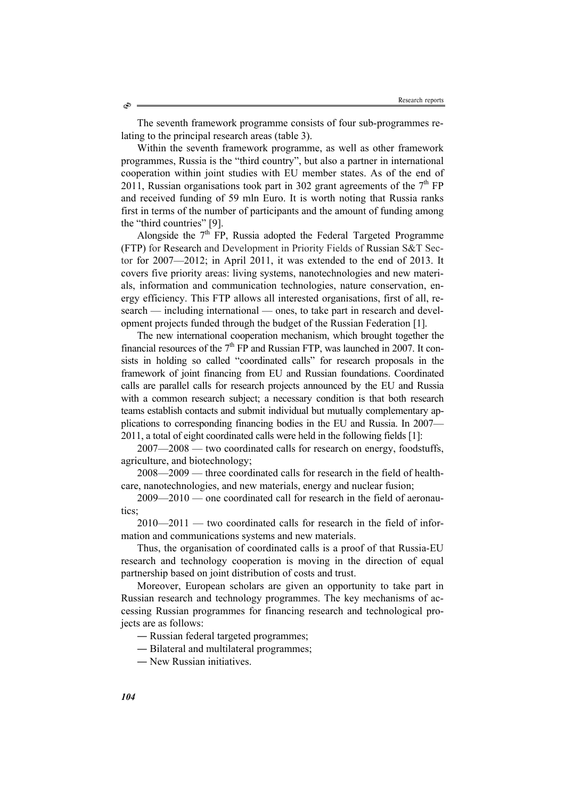The seventh framework programme consists of four sub-programmes relating to the principal research areas (table 3).

Within the seventh framework programme, as well as other framework programmes, Russia is the "third country", but also a partner in international cooperation within joint studies with EU member states. As of the end of 2011, Russian organisations took part in 302 grant agreements of the  $7<sup>th</sup>$  FP and received funding of 59 mln Euro. It is worth noting that Russia ranks first in terms of the number of participants and the amount of funding among the "third countries" [9].

Alongside the  $7<sup>th</sup>$  FP, Russia adopted the Federal Targeted Programme (FTP) for Research and Development in Priority Fields of Russian S&T Sector for 2007—2012; in April 2011, it was extended to the end of 2013. It covers five priority areas: living systems, nanotechnologies and new materials, information and communication technologies, nature conservation, energy efficiency. This FTP allows all interested organisations, first of all, research — including international — ones, to take part in research and development projects funded through the budget of the Russian Federation [1].

The new international cooperation mechanism, which brought together the financial resources of the  $7<sup>th</sup>$  FP and Russian FTP, was launched in 2007. It consists in holding so called "coordinated calls" for research proposals in the framework of joint financing from EU and Russian foundations. Coordinated calls are parallel calls for research projects announced by the EU and Russia with a common research subject; a necessary condition is that both research teams establish contacts and submit individual but mutually complementary applications to corresponding financing bodies in the EU and Russia. In 2007— 2011, a total of eight coordinated calls were held in the following fields [1]:

2007—2008 — two coordinated calls for research on energy, foodstuffs, agriculture, and biotechnology;

2008—2009 — three coordinated calls for research in the field of healthcare, nanotechnologies, and new materials, energy and nuclear fusion;

2009—2010 — one coordinated call for research in the field of aeronautics;

2010—2011 — two coordinated calls for research in the field of information and communications systems and new materials.

Thus, the organisation of coordinated calls is a proof of that Russia-EU research and technology cooperation is moving in the direction of equal partnership based on joint distribution of costs and trust.

Moreover, European scholars are given an opportunity to take part in Russian research and technology programmes. The key mechanisms of accessing Russian programmes for financing research and technological projects are as follows:

- Russian federal targeted programmes;
- Bilateral and multilateral programmes;
- New Russian initiatives.

Ò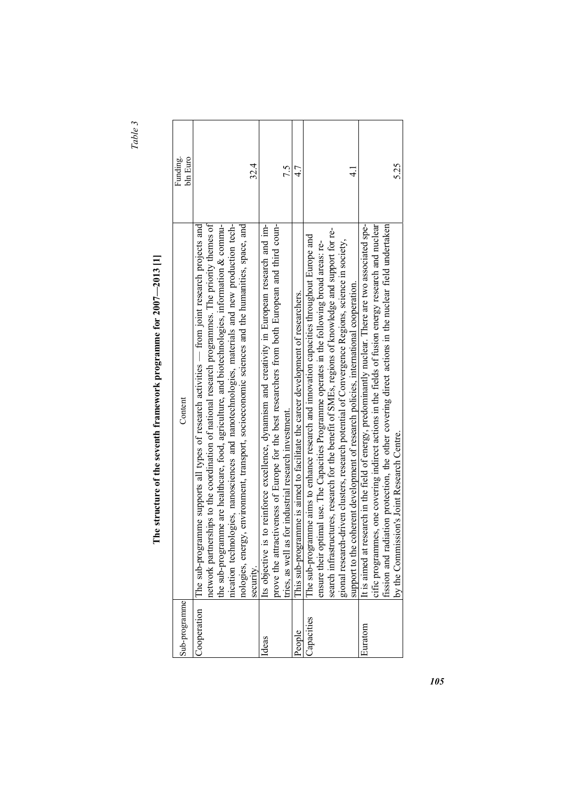*Table 3* 

| $\frac{1}{2}$<br>I   |
|----------------------|
| í<br>ı               |
| $\mathbf{S}$         |
|                      |
|                      |
| l                    |
| $\frac{1}{2}$        |
|                      |
| )<br> <br> <br>      |
|                      |
|                      |
|                      |
|                      |
| ֚֚֬                  |
|                      |
| $\ddot{\phantom{a}}$ |
|                      |
|                      |
|                      |
|                      |
|                      |
|                      |
|                      |
| $\ddot{\phantom{a}}$ |
|                      |
|                      |
|                      |
|                      |
|                      |
|                      |
| i<br>İ               |
|                      |
|                      |
| ;                    |
|                      |
|                      |
| Ē                    |
|                      |

| Sub-programme | Content                                                                                                                                                                                                                                                                                                                                                                                                                                                                                                 | bln Euro<br>Funding. |
|---------------|---------------------------------------------------------------------------------------------------------------------------------------------------------------------------------------------------------------------------------------------------------------------------------------------------------------------------------------------------------------------------------------------------------------------------------------------------------------------------------------------------------|----------------------|
| Cooperation   | network partnerships to the coordination of national research programmes. The priority themes of<br>nication technologies, nanosciences and nanotechnologies, materials and new production tech-<br>The sub-programme supports all types of research activities — from joint research projects and<br>the sub-programme are healthcare, food, agriculture, and biotechnologies, information & commu-<br>nologies, energy, environment, transport, socioeconomic sciences and the humanities, space, and |                      |
|               | security.                                                                                                                                                                                                                                                                                                                                                                                                                                                                                               | 32.4                 |
| deas          | prove the attractiveness of Europe for the best researchers from both European and third coun-<br>Its objective is to reinforce excellence, dynamism and creativity in European research and im-<br>tries, as well as for industrial research investment.                                                                                                                                                                                                                                               | 7.5                  |
| People        | This sub-programme is aimed to facilitate the career development of researchers.                                                                                                                                                                                                                                                                                                                                                                                                                        | 4.7                  |
| Capacities    | search infrastructures, research for the benefit of SMEs, regions of knowledge and support for re-<br>The sub-programme aims to enhance research and innovation capacities throughout Europe and<br>gional research-driven clusters, research potential of Convergence Regions, science in society,<br>ensure their optimal use. The Capacities Programme operates in the following broad areas: re-<br>support to the coherent development of research policies, international cooperation.            | $\frac{1}{4}$        |
| Euratom       | It is aimed at research in the field of energy, predominantly nuclear. There are two associated spe-<br>cific programmes, one covering indirect actions in the fields of fusion energy research and nuclear<br>fission and radiation protection, the other covering direct actions in the nuclear field undertaken<br>by the Commission's Joint Research Centre.                                                                                                                                        | 5.25                 |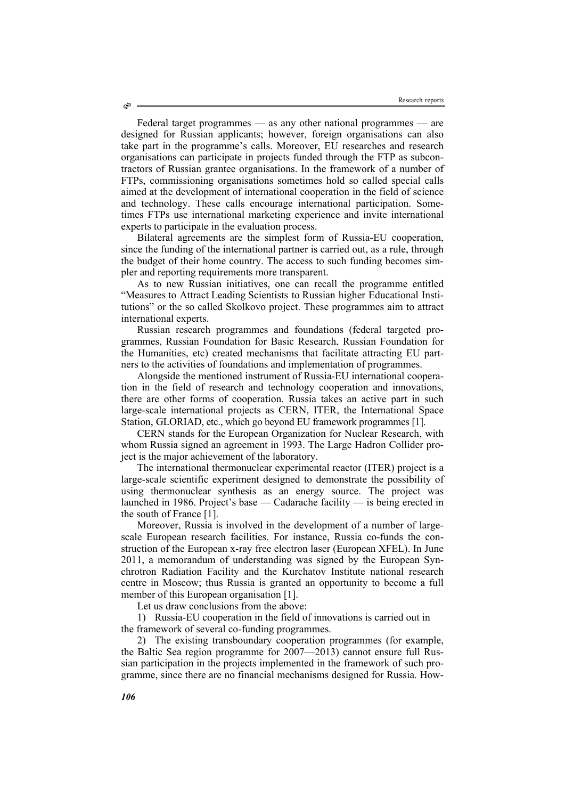Federal target programmes — as any other national programmes — are designed for Russian applicants; however, foreign organisations can also take part in the programme's calls. Moreover, EU researches and research organisations can participate in projects funded through the FTP as subcontractors of Russian grantee organisations. In the framework of a number of FTPs, commissioning organisations sometimes hold so called special calls aimed at the development of international cooperation in the field of science and technology. These calls encourage international participation. Sometimes FTPs use international marketing experience and invite international experts to participate in the evaluation process.

Bilateral agreements are the simplest form of Russia-EU cooperation, since the funding of the international partner is carried out, as a rule, through the budget of their home country. The access to such funding becomes simpler and reporting requirements more transparent.

As to new Russian initiatives, one can recall the programme entitled "Measures to Attract Leading Scientists to Russian higher Educational Institutions" or the so called Skolkovo project. These programmes aim to attract international experts.

Russian research programmes and foundations (federal targeted programmes, Russian Foundation for Basic Research, Russian Foundation for the Humanities, etc) created mechanisms that facilitate attracting EU partners to the activities of foundations and implementation of programmes.

Alongside the mentioned instrument of Russia-EU international cooperation in the field of research and technology cooperation and innovations, there are other forms of cooperation. Russia takes an active part in such large-scale international projects as CERN, ITER, the International Space Station, GLORIAD, etc., which go beyond EU framework programmes [1].

CERN stands for the European Organization for Nuclear Research, with whom Russia signed an agreement in 1993. The Large Hadron Collider project is the major achievement of the laboratory.

The international thermonuclear experimental reactor (ITER) project is a large-scale scientific experiment designed to demonstrate the possibility of using thermonuclear synthesis as an energy source. The project was launched in 1986. Project's base — Cadarache facility — is being erected in the south of France [1].

Moreover, Russia is involved in the development of a number of largescale European research facilities. For instance, Russia co-funds the construction of the European x-ray free electron laser (European XFEL). In June 2011, a memorandum of understanding was signed by the European Synchrotron Radiation Facility and the Kurchatov Institute national research centre in Moscow; thus Russia is granted an opportunity to become a full member of this European organisation [1].

Let us draw conclusions from the above:

1) Russia-EU cooperation in the field of innovations is carried out in the framework of several co-funding programmes.

2) The existing transboundary cooperation programmes (for example, the Baltic Sea region programme for 2007—2013) cannot ensure full Russian participation in the projects implemented in the framework of such programme, since there are no financial mechanisms designed for Russia. How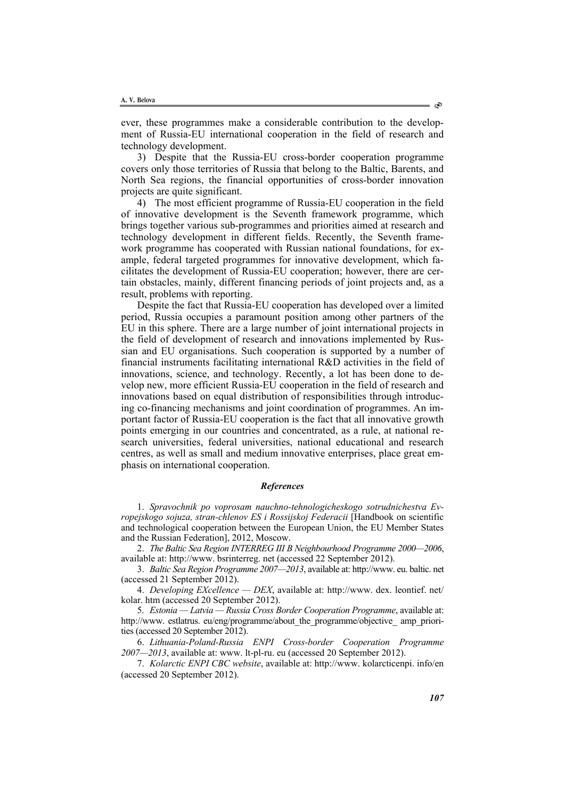ever, these programmes make a considerable contribution to the development of Russia-EU international cooperation in the field of research and technology development.

3) Despite that the Russia-EU cross-border cooperation programme covers only those territories of Russia that belong to the Baltic, Barents, and North Sea regions, the financial opportunities of cross-border innovation projects are quite significant.

4) The most efficient programme of Russia-EU cooperation in the field of innovative development is the Seventh framework programme, which brings together various sub-programmes and priorities aimed at research and technology development in different fields. Recently, the Seventh framework programme has cooperated with Russian national foundations, for example, federal targeted programmes for innovative development, which facilitates the development of Russia-EU cooperation; however, there are certain obstacles, mainly, different financing periods of joint projects and, as a result, problems with reporting.

Despite the fact that Russia-EU cooperation has developed over a limited period, Russia occupies a paramount position among other partners of the EU in this sphere. There are a large number of joint international projects in the field of development of research and innovations implemented by Russian and EU organisations. Such cooperation is supported by a number of financial instruments facilitating international R&D activities in the field of innovations, science, and technology. Recently, a lot has been done to develop new, more efficient Russia-EU cooperation in the field of research and innovations based on equal distribution of responsibilities through introducing co-financing mechanisms and joint coordination of programmes. An important factor of Russia-EU cooperation is the fact that all innovative growth points emerging in our countries and concentrated, as a rule, at national research universities, federal universities, national educational and research centres, as well as small and medium innovative enterprises, place great emphasis on international cooperation.

## *References*

1. *Spravochnik po voprosam nauchno-tehnologicheskogo sotrudnichestva Evropejskogo sojuza, stran-chlenov ES i Rossijskoj Federacii* [Handbook on scientific and technological cooperation between the European Union, the EU Member States and the Russian Federation], 2012, Moscow.

2. *The Baltic Sea Region INTERREG III B Neighbourhood Programme 2000—2006*, available at: http://www. bsrinterreg. net (accessed 22 September 2012).

3. *Baltic Sea Region Programme 2007—2013*, available at: http://www. eu. baltic. net (accessed 21 September 2012).

4. *Developing EXcellence — DEX*, available at: http://www. dex. leontief. net/ kolar. htm (accessed 20 September 2012).

5. *Estonia — Latvia — Russia Cross Border Cooperation Programme*, available at: http://www.estlatrus.eu/eng/programme/about the programme/objective amp\_priorities (accessed 20 September 2012).

6. *Lithuania-Poland-Russia ENPI Cross-border Cooperation Programme 2007—2013*, available at: www. lt-pl-ru. eu (accessed 20 September 2012).

7. *Kolarctic ENPI CBC website*, available at: http://www. kolarcticenpi. info/en (accessed 20 September 2012).